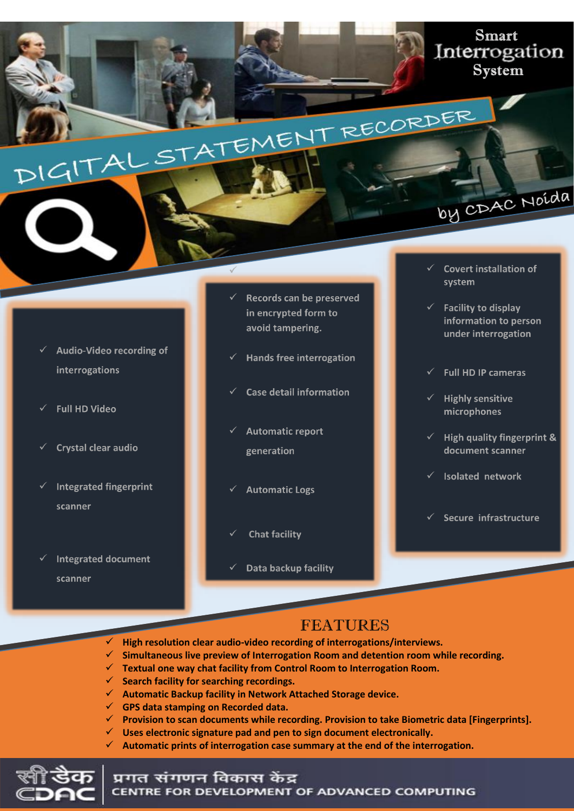## **Smart**<br>Interrogation System

by CDAC Noida

#### Audio-Video recording of  $\checkmark$ interrogations

- **Full HD Video**
- Crystal clear audio
- **Integrated fingerprint** scanner
- **Integrated document**  $\checkmark$ scanner

Records can be preserved in encrypted form to avoid tampering.

DIGITAL STATEMENT RECORDER

- **Hands free interrogation**
- **Case detail information**
- **Automatic report** generation
- **Automatic Logs**
- **Chat facility**
- Data backup facility
- **Covert installation of** system
- **Facility to display** information to person under interrogation
- **Full HD IP cameras**
- **Highly sensitive** microphones
- High quality fingerprint & document scanner
- **Isolated network**
- Secure infrastructure

#### **FEATURES**

- **High resolution clear audio-video recording of interrogations/interviews.**
- **Simultaneous live preview of Interrogation Room and detention room while recording.**
- **Textual one way chat facility from Control Room to Interrogation Room.**
- **Search facility for searching recordings.**
- **Automatic Backup facility in Network Attached Storage device.**
- **GPS data stamping on Recorded data.**
- **Provision to scan documents while recording. Provision to take Biometric data [Fingerprints].**
- **Uses electronic signature pad and pen to sign document electronically.**
- **Automatic prints of interrogation case summary at the end of the interrogation.**

- Automatic prints of interrogation case summary at the end of the interrogation.



room and the interrogator in interview room

CENTRE FOR DEVELOPMENT OF ADVANCED COMPUTING